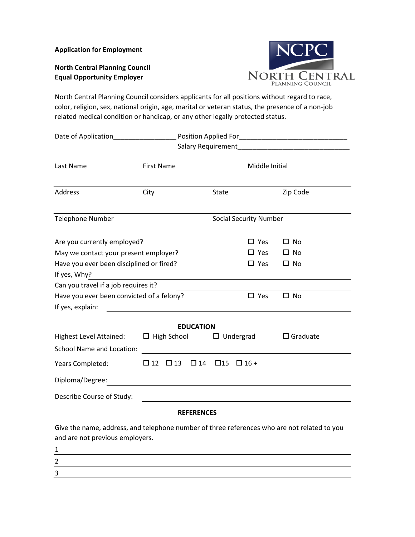**Application for Employment**

**North Central Planning Council Equal Opportunity Employer**



North Central Planning Council considers applicants for all positions without regard to race, color, religion, sex, national origin, age, marital or veteran status, the presence of a non-job related medical condition or handicap, or any other legally protected status.

| Date of Application                       |                        |           |              |                               |                 |  |
|-------------------------------------------|------------------------|-----------|--------------|-------------------------------|-----------------|--|
|                                           |                        |           |              |                               |                 |  |
| Last Name                                 | <b>First Name</b>      |           |              | Middle Initial                |                 |  |
| Address                                   | City                   |           | <b>State</b> |                               | Zip Code        |  |
| <b>Telephone Number</b>                   |                        |           |              | <b>Social Security Number</b> |                 |  |
| Are you currently employed?               |                        |           |              | $\square$ Yes                 | $\square$ No    |  |
| May we contact your present employer?     |                        |           |              | □ Yes                         | $\square$ No    |  |
| Have you ever been disciplined or fired?  |                        |           |              | $\square$ Yes                 | $\square$ No    |  |
| If yes, Why?                              |                        |           |              |                               |                 |  |
| Can you travel if a job requires it?      |                        |           |              |                               |                 |  |
| Have you ever been convicted of a felony? |                        |           |              | $\Box$ Yes                    | $\Box$ No       |  |
| If yes, explain:                          |                        |           |              |                               |                 |  |
| <b>EDUCATION</b>                          |                        |           |              |                               |                 |  |
| <b>Highest Level Attained:</b>            | $\Box$ High School     |           |              | $\Box$ Undergrad              | $\Box$ Graduate |  |
| <b>School Name and Location:</b>          |                        |           |              |                               |                 |  |
| Years Completed:                          | $\Box$ 12<br>$\Box$ 13 | $\Box$ 14 | $\square$ 15 | $\Box$ 16 +                   |                 |  |
| Diploma/Degree:                           |                        |           |              |                               |                 |  |
| Describe Course of Study:                 |                        |           |              |                               |                 |  |

## **REFERENCES**

Give the name, address, and telephone number of three references who are not related to you and are not previous employers.